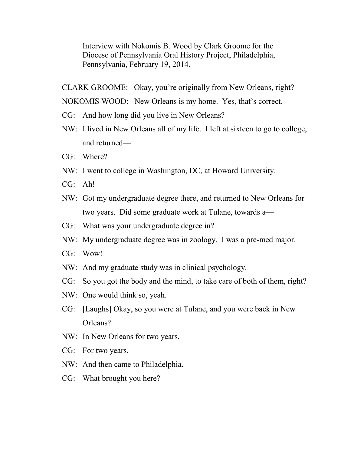Interview with Nokomis B. Wood by Clark Groome for the Diocese of Pennsylvania Oral History Project, Philadelphia, Pennsylvania, February 19, 2014.

CLARK GROOME: Okay, you're originally from New Orleans, right? NOKOMIS WOOD: New Orleans is my home. Yes, that's correct.

- CG: And how long did you live in New Orleans?
- NW: I lived in New Orleans all of my life. I left at sixteen to go to college, and returned—
- CG: Where?
- NW: I went to college in Washington, DC, at Howard University.
- CG: Ah!
- NW: Got my undergraduate degree there, and returned to New Orleans for two years. Did some graduate work at Tulane, towards a—
- CG: What was your undergraduate degree in?
- NW: My undergraduate degree was in zoology. I was a pre-med major.
- CG: Wow!
- NW: And my graduate study was in clinical psychology.
- CG: So you got the body and the mind, to take care of both of them, right?
- NW: One would think so, yeah.
- CG: [Laughs] Okay, so you were at Tulane, and you were back in New Orleans?
- NW: In New Orleans for two years.
- CG: For two years.
- NW: And then came to Philadelphia.
- CG: What brought you here?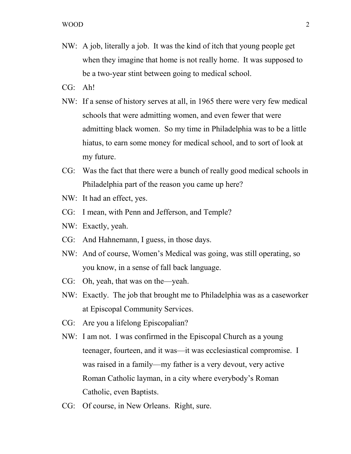- NW: A job, literally a job. It was the kind of itch that young people get when they imagine that home is not really home. It was supposed to be a two-year stint between going to medical school.
- CG: Ah!
- NW: If a sense of history serves at all, in 1965 there were very few medical schools that were admitting women, and even fewer that were admitting black women. So my time in Philadelphia was to be a little hiatus, to earn some money for medical school, and to sort of look at my future.
- CG: Was the fact that there were a bunch of really good medical schools in Philadelphia part of the reason you came up here?
- NW: It had an effect, yes.
- CG: I mean, with Penn and Jefferson, and Temple?
- NW: Exactly, yeah.
- CG: And Hahnemann, I guess, in those days.
- NW: And of course, Women's Medical was going, was still operating, so you know, in a sense of fall back language.
- CG: Oh, yeah, that was on the—yeah.
- NW: Exactly. The job that brought me to Philadelphia was as a caseworker at Episcopal Community Services.
- CG: Are you a lifelong Episcopalian?
- NW: I am not. I was confirmed in the Episcopal Church as a young teenager, fourteen, and it was—it was ecclesiastical compromise. I was raised in a family—my father is a very devout, very active Roman Catholic layman, in a city where everybody's Roman Catholic, even Baptists.
- CG: Of course, in New Orleans. Right, sure.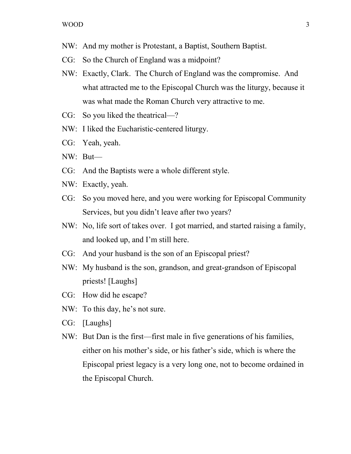- NW: And my mother is Protestant, a Baptist, Southern Baptist.
- CG: So the Church of England was a midpoint?
- NW: Exactly, Clark. The Church of England was the compromise. And what attracted me to the Episcopal Church was the liturgy, because it was what made the Roman Church very attractive to me.
- CG: So you liked the theatrical—?
- NW: I liked the Eucharistic-centered liturgy.
- CG: Yeah, yeah.
- NW: But—
- CG: And the Baptists were a whole different style.
- NW: Exactly, yeah.
- CG: So you moved here, and you were working for Episcopal Community Services, but you didn't leave after two years?
- NW: No, life sort of takes over. I got married, and started raising a family, and looked up, and I'm still here.
- CG: And your husband is the son of an Episcopal priest?
- NW: My husband is the son, grandson, and great-grandson of Episcopal priests! [Laughs]
- CG: How did he escape?
- NW: To this day, he's not sure.
- CG: [Laughs]
- NW: But Dan is the first—first male in five generations of his families, either on his mother's side, or his father's side, which is where the Episcopal priest legacy is a very long one, not to become ordained in the Episcopal Church.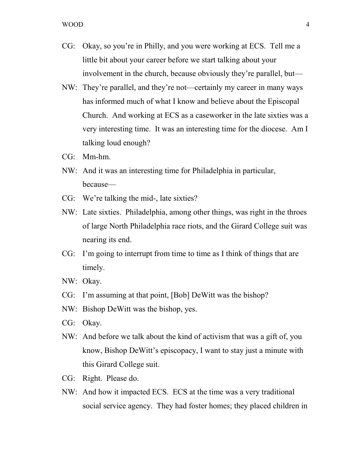- CG: Okay, so you're in Philly, and you were working at ECS. Tell me a little bit about your career before we start talking about your involvement in the church, because obviously they're parallel, but—
- NW: They're parallel, and they're not—certainly my career in many ways has informed much of what I know and believe about the Episcopal Church. And working at ECS as a caseworker in the late sixties was a very interesting time. It was an interesting time for the diocese. Am I talking loud enough?
- CG: Mm-hm.
- NW: And it was an interesting time for Philadelphia in particular, because—
- CG: We're talking the mid-, late sixties?
- NW: Late sixties. Philadelphia, among other things, was right in the throes of large North Philadelphia race riots, and the Girard College suit was nearing its end.
- CG: I'm going to interrupt from time to time as I think of things that are timely.
- NW: Okay.
- CG: I'm assuming at that point, [Bob] DeWitt was the bishop?
- NW: Bishop DeWitt was the bishop, yes.
- CG: Okay.
- NW: And before we talk about the kind of activism that was a gift of, you know, Bishop DeWitt's episcopacy, I want to stay just a minute with this Girard College suit.
- CG: Right. Please do.
- NW: And how it impacted ECS. ECS at the time was a very traditional social service agency. They had foster homes; they placed children in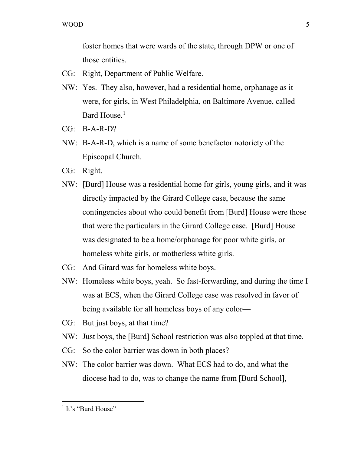foster homes that were wards of the state, through DPW or one of those entities.

- CG: Right, Department of Public Welfare.
- NW: Yes. They also, however, had a residential home, orphanage as it were, for girls, in West Philadelphia, on Baltimore Avenue, called Bard House.<sup>[1](#page-4-0)</sup>
- CG: B-A-R-D?
- NW: B-A-R-D, which is a name of some benefactor notoriety of the Episcopal Church.
- CG: Right.
- NW: [Burd] House was a residential home for girls, young girls, and it was directly impacted by the Girard College case, because the same contingencies about who could benefit from [Burd] House were those that were the particulars in the Girard College case. [Burd] House was designated to be a home/orphanage for poor white girls, or homeless white girls, or motherless white girls.
- CG: And Girard was for homeless white boys.
- NW: Homeless white boys, yeah. So fast-forwarding, and during the time I was at ECS, when the Girard College case was resolved in favor of being available for all homeless boys of any color—
- CG: But just boys, at that time?
- NW: Just boys, the [Burd] School restriction was also toppled at that time.
- CG: So the color barrier was down in both places?
- NW: The color barrier was down. What ECS had to do, and what the diocese had to do, was to change the name from [Burd School],

<span id="page-4-0"></span> $<sup>1</sup>$  It's "Burd House"</sup>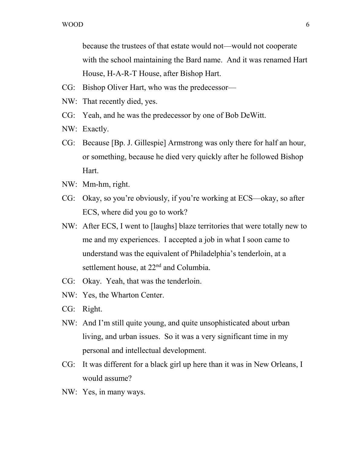because the trustees of that estate would not—would not cooperate with the school maintaining the Bard name. And it was renamed Hart House, H-A-R-T House, after Bishop Hart.

- CG: Bishop Oliver Hart, who was the predecessor—
- NW: That recently died, yes.
- CG: Yeah, and he was the predecessor by one of Bob DeWitt.
- NW: Exactly.
- CG: Because [Bp. J. Gillespie] Armstrong was only there for half an hour, or something, because he died very quickly after he followed Bishop Hart.
- NW: Mm-hm, right.
- CG: Okay, so you're obviously, if you're working at ECS—okay, so after ECS, where did you go to work?
- NW: After ECS, I went to [laughs] blaze territories that were totally new to me and my experiences. I accepted a job in what I soon came to understand was the equivalent of Philadelphia's tenderloin, at a settlement house, at 22<sup>nd</sup> and Columbia.
- CG: Okay. Yeah, that was the tenderloin.
- NW: Yes, the Wharton Center.
- CG: Right.
- NW: And I'm still quite young, and quite unsophisticated about urban living, and urban issues. So it was a very significant time in my personal and intellectual development.
- CG: It was different for a black girl up here than it was in New Orleans, I would assume?
- NW: Yes, in many ways.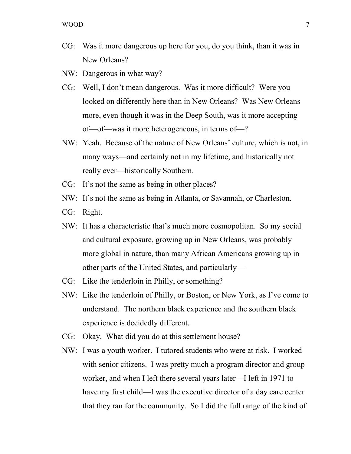- CG: Was it more dangerous up here for you, do you think, than it was in New Orleans?
- NW: Dangerous in what way?
- CG: Well, I don't mean dangerous. Was it more difficult? Were you looked on differently here than in New Orleans? Was New Orleans more, even though it was in the Deep South, was it more accepting of—of—was it more heterogeneous, in terms of—?
- NW: Yeah. Because of the nature of New Orleans' culture, which is not, in many ways—and certainly not in my lifetime, and historically not really ever—historically Southern.
- CG: It's not the same as being in other places?
- NW: It's not the same as being in Atlanta, or Savannah, or Charleston.
- CG: Right.
- NW: It has a characteristic that's much more cosmopolitan. So my social and cultural exposure, growing up in New Orleans, was probably more global in nature, than many African Americans growing up in other parts of the United States, and particularly—
- CG: Like the tenderloin in Philly, or something?
- NW: Like the tenderloin of Philly, or Boston, or New York, as I've come to understand. The northern black experience and the southern black experience is decidedly different.
- CG: Okay. What did you do at this settlement house?
- NW: I was a youth worker. I tutored students who were at risk. I worked with senior citizens. I was pretty much a program director and group worker, and when I left there several years later—I left in 1971 to have my first child—I was the executive director of a day care center that they ran for the community. So I did the full range of the kind of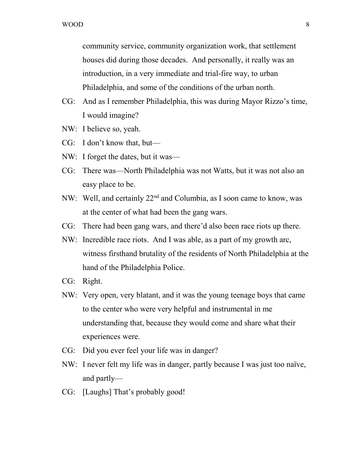community service, community organization work, that settlement houses did during those decades. And personally, it really was an introduction, in a very immediate and trial-fire way, to urban Philadelphia, and some of the conditions of the urban north.

- CG: And as I remember Philadelphia, this was during Mayor Rizzo's time, I would imagine?
- NW: I believe so, yeah.
- CG: I don't know that, but—
- NW: I forget the dates, but it was—
- CG: There was—North Philadelphia was not Watts, but it was not also an easy place to be.
- NW: Well, and certainly 22<sup>nd</sup> and Columbia, as I soon came to know, was at the center of what had been the gang wars.
- CG: There had been gang wars, and there'd also been race riots up there.
- NW: Incredible race riots. And I was able, as a part of my growth arc, witness firsthand brutality of the residents of North Philadelphia at the hand of the Philadelphia Police.
- CG: Right.
- NW: Very open, very blatant, and it was the young teenage boys that came to the center who were very helpful and instrumental in me understanding that, because they would come and share what their experiences were.
- CG: Did you ever feel your life was in danger?
- NW: I never felt my life was in danger, partly because I was just too naïve, and partly—
- CG: [Laughs] That's probably good!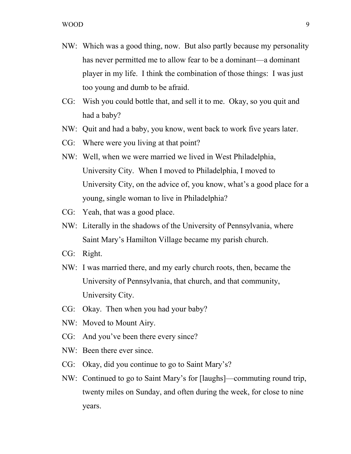- NW: Which was a good thing, now. But also partly because my personality has never permitted me to allow fear to be a dominant—a dominant player in my life. I think the combination of those things: I was just too young and dumb to be afraid.
- CG: Wish you could bottle that, and sell it to me. Okay, so you quit and had a baby?
- NW: Quit and had a baby, you know, went back to work five years later.
- CG: Where were you living at that point?
- NW: Well, when we were married we lived in West Philadelphia, University City. When I moved to Philadelphia, I moved to University City, on the advice of, you know, what's a good place for a young, single woman to live in Philadelphia?
- CG: Yeah, that was a good place.
- NW: Literally in the shadows of the University of Pennsylvania, where Saint Mary's Hamilton Village became my parish church.
- CG: Right.
- NW: I was married there, and my early church roots, then, became the University of Pennsylvania, that church, and that community, University City.
- CG: Okay. Then when you had your baby?
- NW: Moved to Mount Airy.
- CG: And you've been there every since?
- NW: Been there ever since.
- CG: Okay, did you continue to go to Saint Mary's?
- NW: Continued to go to Saint Mary's for [laughs]—commuting round trip, twenty miles on Sunday, and often during the week, for close to nine years.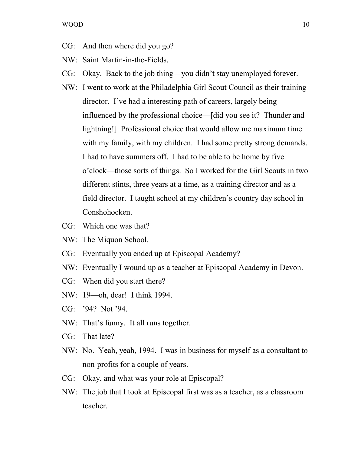- CG: And then where did you go?
- NW: Saint Martin-in-the-Fields.
- CG: Okay. Back to the job thing—you didn't stay unemployed forever.
- NW: I went to work at the Philadelphia Girl Scout Council as their training director. I've had a interesting path of careers, largely being influenced by the professional choice—[did you see it? Thunder and lightning!] Professional choice that would allow me maximum time with my family, with my children. I had some pretty strong demands. I had to have summers off. I had to be able to be home by five o'clock—those sorts of things. So I worked for the Girl Scouts in two different stints, three years at a time, as a training director and as a field director. I taught school at my children's country day school in Conshohocken.
- CG: Which one was that?
- NW: The Miquon School.
- CG: Eventually you ended up at Episcopal Academy?
- NW: Eventually I wound up as a teacher at Episcopal Academy in Devon.
- CG: When did you start there?
- NW: 19—oh, dear! I think 1994.
- CG: '94? Not '94.
- NW: That's funny. It all runs together.
- CG: That late?
- NW: No. Yeah, yeah, 1994. I was in business for myself as a consultant to non-profits for a couple of years.
- CG: Okay, and what was your role at Episcopal?
- NW: The job that I took at Episcopal first was as a teacher, as a classroom teacher.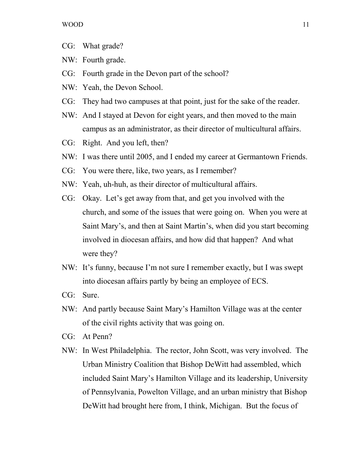- CG: What grade?
- NW: Fourth grade.
- CG: Fourth grade in the Devon part of the school?
- NW: Yeah, the Devon School.
- CG: They had two campuses at that point, just for the sake of the reader.
- NW: And I stayed at Devon for eight years, and then moved to the main campus as an administrator, as their director of multicultural affairs.
- CG: Right. And you left, then?
- NW: I was there until 2005, and I ended my career at Germantown Friends.
- CG: You were there, like, two years, as I remember?
- NW: Yeah, uh-huh, as their director of multicultural affairs.
- CG: Okay. Let's get away from that, and get you involved with the church, and some of the issues that were going on. When you were at Saint Mary's, and then at Saint Martin's, when did you start becoming involved in diocesan affairs, and how did that happen? And what were they?
- NW: It's funny, because I'm not sure I remember exactly, but I was swept into diocesan affairs partly by being an employee of ECS.
- CG: Sure.
- NW: And partly because Saint Mary's Hamilton Village was at the center of the civil rights activity that was going on.
- CG: At Penn?
- NW: In West Philadelphia. The rector, John Scott, was very involved. The Urban Ministry Coalition that Bishop DeWitt had assembled, which included Saint Mary's Hamilton Village and its leadership, University of Pennsylvania, Powelton Village, and an urban ministry that Bishop DeWitt had brought here from, I think, Michigan. But the focus of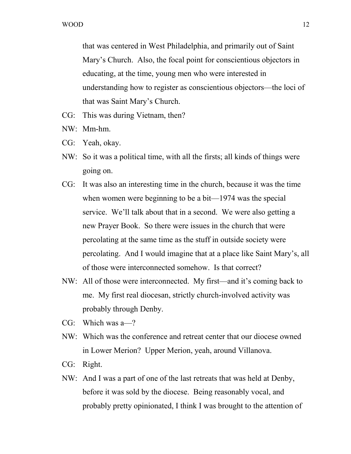that was centered in West Philadelphia, and primarily out of Saint Mary's Church. Also, the focal point for conscientious objectors in educating, at the time, young men who were interested in understanding how to register as conscientious objectors—the loci of that was Saint Mary's Church.

- CG: This was during Vietnam, then?
- NW: Mm-hm.
- CG: Yeah, okay.
- NW: So it was a political time, with all the firsts; all kinds of things were going on.
- CG: It was also an interesting time in the church, because it was the time when women were beginning to be a bit—1974 was the special service. We'll talk about that in a second. We were also getting a new Prayer Book. So there were issues in the church that were percolating at the same time as the stuff in outside society were percolating. And I would imagine that at a place like Saint Mary's, all of those were interconnected somehow. Is that correct?
- NW: All of those were interconnected. My first—and it's coming back to me. My first real diocesan, strictly church-involved activity was probably through Denby.
- CG: Which was a—?
- NW: Which was the conference and retreat center that our diocese owned in Lower Merion? Upper Merion, yeah, around Villanova.
- CG: Right.
- NW: And I was a part of one of the last retreats that was held at Denby, before it was sold by the diocese. Being reasonably vocal, and probably pretty opinionated, I think I was brought to the attention of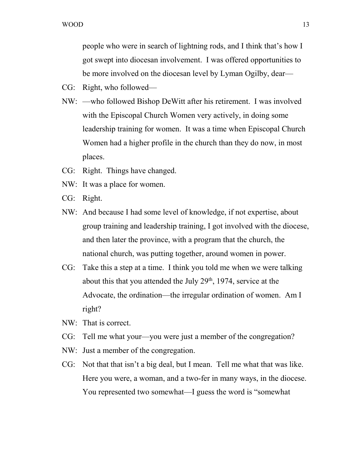people who were in search of lightning rods, and I think that's how I got swept into diocesan involvement. I was offered opportunities to be more involved on the diocesan level by Lyman Ogilby, dear—

- CG: Right, who followed—
- NW: —who followed Bishop DeWitt after his retirement. I was involved with the Episcopal Church Women very actively, in doing some leadership training for women. It was a time when Episcopal Church Women had a higher profile in the church than they do now, in most places.
- CG: Right. Things have changed.
- NW: It was a place for women.
- CG: Right.
- NW: And because I had some level of knowledge, if not expertise, about group training and leadership training, I got involved with the diocese, and then later the province, with a program that the church, the national church, was putting together, around women in power.
- CG: Take this a step at a time. I think you told me when we were talking about this that you attended the July  $29<sup>th</sup>$ , 1974, service at the Advocate, the ordination—the irregular ordination of women. Am I right?
- NW: That is correct.
- CG: Tell me what your—you were just a member of the congregation?
- NW: Just a member of the congregation.
- CG: Not that that isn't a big deal, but I mean. Tell me what that was like. Here you were, a woman, and a two-fer in many ways, in the diocese. You represented two somewhat—I guess the word is "somewhat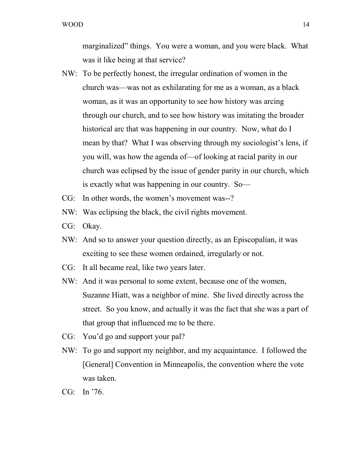marginalized" things. You were a woman, and you were black. What was it like being at that service?

- NW: To be perfectly honest, the irregular ordination of women in the church was—was not as exhilarating for me as a woman, as a black woman, as it was an opportunity to see how history was arcing through our church, and to see how history was imitating the broader historical arc that was happening in our country. Now, what do I mean by that? What I was observing through my sociologist's lens, if you will, was how the agenda of—of looking at racial parity in our church was eclipsed by the issue of gender parity in our church, which is exactly what was happening in our country. So—
- CG: In other words, the women's movement was--?
- NW: Was eclipsing the black, the civil rights movement.
- CG: Okay.
- NW: And so to answer your question directly, as an Episcopalian, it was exciting to see these women ordained, irregularly or not.
- CG: It all became real, like two years later.
- NW: And it was personal to some extent, because one of the women, Suzanne Hiatt, was a neighbor of mine. She lived directly across the street. So you know, and actually it was the fact that she was a part of that group that influenced me to be there.
- CG: You'd go and support your pal?
- NW: To go and support my neighbor, and my acquaintance. I followed the [General] Convention in Minneapolis, the convention where the vote was taken.
- CG: In '76.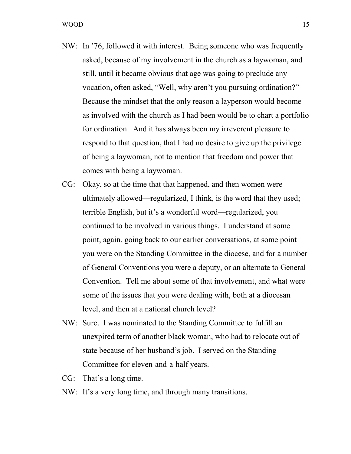- NW: In '76, followed it with interest. Being someone who was frequently asked, because of my involvement in the church as a laywoman, and still, until it became obvious that age was going to preclude any vocation, often asked, "Well, why aren't you pursuing ordination?" Because the mindset that the only reason a layperson would become as involved with the church as I had been would be to chart a portfolio for ordination. And it has always been my irreverent pleasure to respond to that question, that I had no desire to give up the privilege of being a laywoman, not to mention that freedom and power that comes with being a laywoman.
- CG: Okay, so at the time that that happened, and then women were ultimately allowed—regularized, I think, is the word that they used; terrible English, but it's a wonderful word—regularized, you continued to be involved in various things. I understand at some point, again, going back to our earlier conversations, at some point you were on the Standing Committee in the diocese, and for a number of General Conventions you were a deputy, or an alternate to General Convention. Tell me about some of that involvement, and what were some of the issues that you were dealing with, both at a diocesan level, and then at a national church level?
- NW: Sure. I was nominated to the Standing Committee to fulfill an unexpired term of another black woman, who had to relocate out of state because of her husband's job. I served on the Standing Committee for eleven-and-a-half years.
- CG: That's a long time.
- NW: It's a very long time, and through many transitions.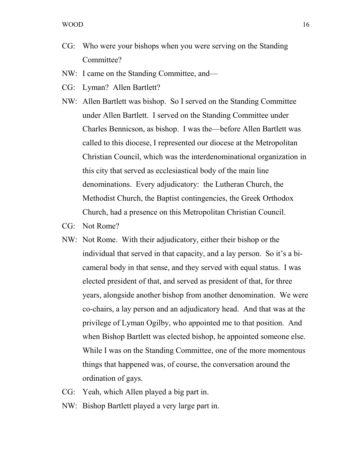- CG: Who were your bishops when you were serving on the Standing Committee?
- NW: I came on the Standing Committee, and—
- CG: Lyman? Allen Bartlett?
- NW: Allen Bartlett was bishop. So I served on the Standing Committee under Allen Bartlett. I served on the Standing Committee under Charles Bennicson, as bishop. I was the—before Allen Bartlett was called to this diocese, I represented our diocese at the Metropolitan Christian Council, which was the interdenominational organization in this city that served as ecclesiastical body of the main line denominations. Every adjudicatory: the Lutheran Church, the Methodist Church, the Baptist contingencies, the Greek Orthodox Church, had a presence on this Metropolitan Christian Council.
- CG: Not Rome?
- NW: Not Rome. With their adjudicatory, either their bishop or the individual that served in that capacity, and a lay person. So it's a bicameral body in that sense, and they served with equal status. I was elected president of that, and served as president of that, for three years, alongside another bishop from another denomination. We were co-chairs, a lay person and an adjudicatory head. And that was at the privilege of Lyman Ogilby, who appointed me to that position. And when Bishop Bartlett was elected bishop, he appointed someone else. While I was on the Standing Committee, one of the more momentous things that happened was, of course, the conversation around the ordination of gays.
- CG: Yeah, which Allen played a big part in.
- NW: Bishop Bartlett played a very large part in.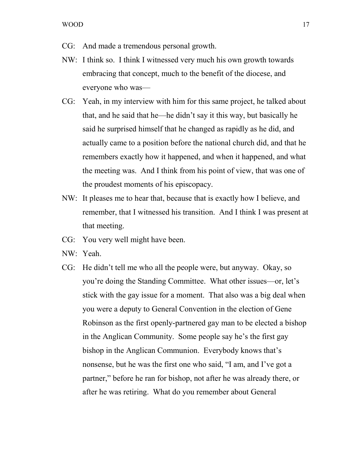- CG: And made a tremendous personal growth.
- NW: I think so. I think I witnessed very much his own growth towards embracing that concept, much to the benefit of the diocese, and everyone who was—
- CG: Yeah, in my interview with him for this same project, he talked about that, and he said that he—he didn't say it this way, but basically he said he surprised himself that he changed as rapidly as he did, and actually came to a position before the national church did, and that he remembers exactly how it happened, and when it happened, and what the meeting was. And I think from his point of view, that was one of the proudest moments of his episcopacy.
- NW: It pleases me to hear that, because that is exactly how I believe, and remember, that I witnessed his transition. And I think I was present at that meeting.
- CG: You very well might have been.
- NW: Yeah.
- CG: He didn't tell me who all the people were, but anyway. Okay, so you're doing the Standing Committee. What other issues—or, let's stick with the gay issue for a moment. That also was a big deal when you were a deputy to General Convention in the election of Gene Robinson as the first openly-partnered gay man to be elected a bishop in the Anglican Community. Some people say he's the first gay bishop in the Anglican Communion. Everybody knows that's nonsense, but he was the first one who said, "I am, and I've got a partner," before he ran for bishop, not after he was already there, or after he was retiring. What do you remember about General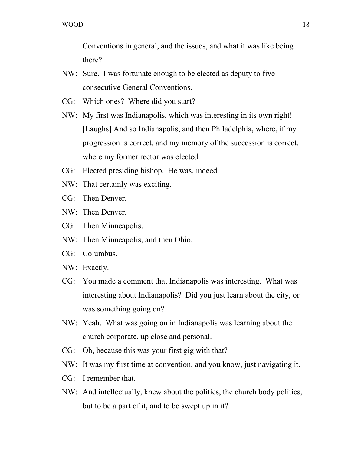Conventions in general, and the issues, and what it was like being there?

- NW: Sure. I was fortunate enough to be elected as deputy to five consecutive General Conventions.
- CG: Which ones? Where did you start?
- NW: My first was Indianapolis, which was interesting in its own right! [Laughs] And so Indianapolis, and then Philadelphia, where, if my progression is correct, and my memory of the succession is correct, where my former rector was elected.
- CG: Elected presiding bishop. He was, indeed.
- NW: That certainly was exciting.
- CG: Then Denver.
- NW: Then Denver.
- CG: Then Minneapolis.
- NW: Then Minneapolis, and then Ohio.
- CG: Columbus.
- NW: Exactly.
- CG: You made a comment that Indianapolis was interesting. What was interesting about Indianapolis? Did you just learn about the city, or was something going on?
- NW: Yeah. What was going on in Indianapolis was learning about the church corporate, up close and personal.
- CG: Oh, because this was your first gig with that?
- NW: It was my first time at convention, and you know, just navigating it.
- CG: I remember that.
- NW: And intellectually, knew about the politics, the church body politics, but to be a part of it, and to be swept up in it?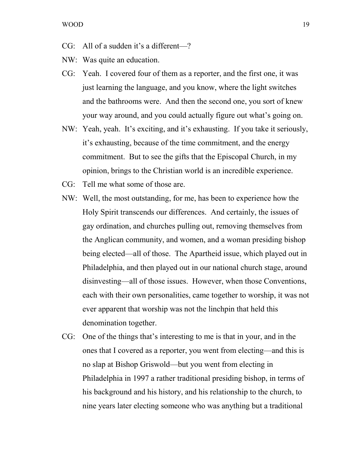- CG: All of a sudden it's a different—?
- NW: Was quite an education.
- CG: Yeah. I covered four of them as a reporter, and the first one, it was just learning the language, and you know, where the light switches and the bathrooms were. And then the second one, you sort of knew your way around, and you could actually figure out what's going on.
- NW: Yeah, yeah. It's exciting, and it's exhausting. If you take it seriously, it's exhausting, because of the time commitment, and the energy commitment. But to see the gifts that the Episcopal Church, in my opinion, brings to the Christian world is an incredible experience.
- CG: Tell me what some of those are.
- NW: Well, the most outstanding, for me, has been to experience how the Holy Spirit transcends our differences. And certainly, the issues of gay ordination, and churches pulling out, removing themselves from the Anglican community, and women, and a woman presiding bishop being elected—all of those. The Apartheid issue, which played out in Philadelphia, and then played out in our national church stage, around disinvesting—all of those issues. However, when those Conventions, each with their own personalities, came together to worship, it was not ever apparent that worship was not the linchpin that held this denomination together.
- CG: One of the things that's interesting to me is that in your, and in the ones that I covered as a reporter, you went from electing—and this is no slap at Bishop Griswold—but you went from electing in Philadelphia in 1997 a rather traditional presiding bishop, in terms of his background and his history, and his relationship to the church, to nine years later electing someone who was anything but a traditional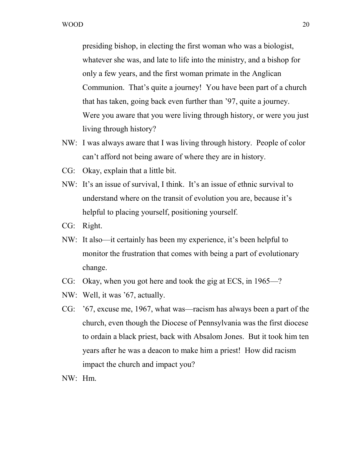presiding bishop, in electing the first woman who was a biologist, whatever she was, and late to life into the ministry, and a bishop for only a few years, and the first woman primate in the Anglican Communion. That's quite a journey! You have been part of a church that has taken, going back even further than '97, quite a journey. Were you aware that you were living through history, or were you just living through history?

- NW: I was always aware that I was living through history. People of color can't afford not being aware of where they are in history.
- CG: Okay, explain that a little bit.
- NW: It's an issue of survival, I think. It's an issue of ethnic survival to understand where on the transit of evolution you are, because it's helpful to placing yourself, positioning yourself.
- CG: Right.
- NW: It also—it certainly has been my experience, it's been helpful to monitor the frustration that comes with being a part of evolutionary change.
- CG: Okay, when you got here and took the gig at ECS, in 1965—?
- NW: Well, it was '67, actually.
- CG: '67, excuse me, 1967, what was—racism has always been a part of the church, even though the Diocese of Pennsylvania was the first diocese to ordain a black priest, back with Absalom Jones. But it took him ten years after he was a deacon to make him a priest! How did racism impact the church and impact you?
- NW: Hm.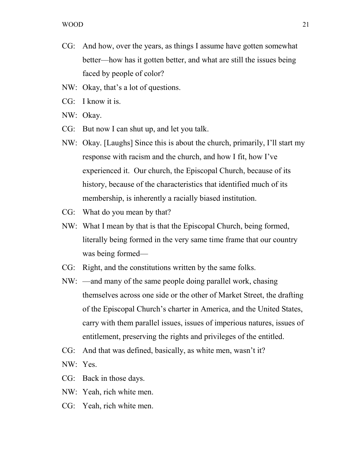- CG: And how, over the years, as things I assume have gotten somewhat better—how has it gotten better, and what are still the issues being faced by people of color?
- NW: Okay, that's a lot of questions.
- CG: I know it is.
- NW: Okay.
- CG: But now I can shut up, and let you talk.
- NW: Okay. [Laughs] Since this is about the church, primarily, I'll start my response with racism and the church, and how I fit, how I've experienced it. Our church, the Episcopal Church, because of its history, because of the characteristics that identified much of its membership, is inherently a racially biased institution.
- CG: What do you mean by that?
- NW: What I mean by that is that the Episcopal Church, being formed, literally being formed in the very same time frame that our country was being formed—
- CG: Right, and the constitutions written by the same folks.
- NW: —and many of the same people doing parallel work, chasing themselves across one side or the other of Market Street, the drafting of the Episcopal Church's charter in America, and the United States, carry with them parallel issues, issues of imperious natures, issues of entitlement, preserving the rights and privileges of the entitled.
- CG: And that was defined, basically, as white men, wasn't it?
- NW: Yes.
- CG: Back in those days.
- NW: Yeah, rich white men.
- CG: Yeah, rich white men.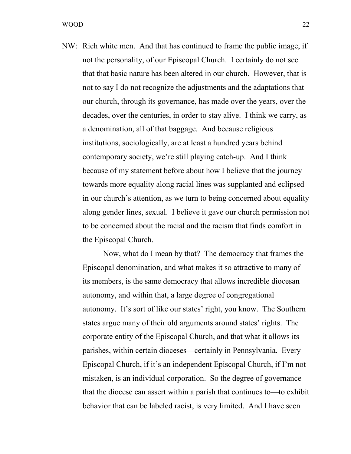NW: Rich white men. And that has continued to frame the public image, if not the personality, of our Episcopal Church. I certainly do not see that that basic nature has been altered in our church. However, that is not to say I do not recognize the adjustments and the adaptations that our church, through its governance, has made over the years, over the decades, over the centuries, in order to stay alive. I think we carry, as a denomination, all of that baggage. And because religious institutions, sociologically, are at least a hundred years behind contemporary society, we're still playing catch-up. And I think because of my statement before about how I believe that the journey towards more equality along racial lines was supplanted and eclipsed in our church's attention, as we turn to being concerned about equality along gender lines, sexual. I believe it gave our church permission not to be concerned about the racial and the racism that finds comfort in the Episcopal Church.

Now, what do I mean by that? The democracy that frames the Episcopal denomination, and what makes it so attractive to many of its members, is the same democracy that allows incredible diocesan autonomy, and within that, a large degree of congregational autonomy. It's sort of like our states' right, you know. The Southern states argue many of their old arguments around states' rights. The corporate entity of the Episcopal Church, and that what it allows its parishes, within certain dioceses—certainly in Pennsylvania. Every Episcopal Church, if it's an independent Episcopal Church, if I'm not mistaken, is an individual corporation. So the degree of governance that the diocese can assert within a parish that continues to—to exhibit behavior that can be labeled racist, is very limited. And I have seen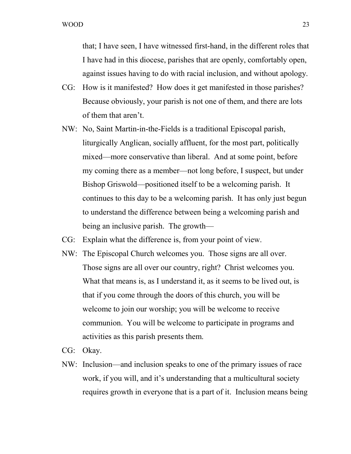that; I have seen, I have witnessed first-hand, in the different roles that I have had in this diocese, parishes that are openly, comfortably open, against issues having to do with racial inclusion, and without apology.

- CG: How is it manifested? How does it get manifested in those parishes? Because obviously, your parish is not one of them, and there are lots of them that aren't.
- NW: No, Saint Martin-in-the-Fields is a traditional Episcopal parish, liturgically Anglican, socially affluent, for the most part, politically mixed—more conservative than liberal. And at some point, before my coming there as a member—not long before, I suspect, but under Bishop Griswold—positioned itself to be a welcoming parish. It continues to this day to be a welcoming parish. It has only just begun to understand the difference between being a welcoming parish and being an inclusive parish. The growth—
- CG: Explain what the difference is, from your point of view.
- NW: The Episcopal Church welcomes you. Those signs are all over. Those signs are all over our country, right? Christ welcomes you. What that means is, as I understand it, as it seems to be lived out, is that if you come through the doors of this church, you will be welcome to join our worship; you will be welcome to receive communion. You will be welcome to participate in programs and activities as this parish presents them.
- CG: Okay.
- NW: Inclusion—and inclusion speaks to one of the primary issues of race work, if you will, and it's understanding that a multicultural society requires growth in everyone that is a part of it. Inclusion means being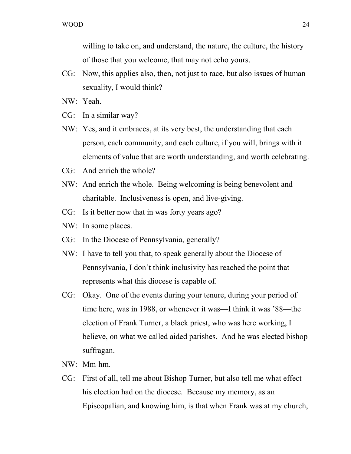willing to take on, and understand, the nature, the culture, the history of those that you welcome, that may not echo yours.

CG: Now, this applies also, then, not just to race, but also issues of human sexuality, I would think?

NW: Yeah.

- CG: In a similar way?
- NW: Yes, and it embraces, at its very best, the understanding that each person, each community, and each culture, if you will, brings with it elements of value that are worth understanding, and worth celebrating.
- CG: And enrich the whole?
- NW: And enrich the whole. Being welcoming is being benevolent and charitable. Inclusiveness is open, and live-giving.
- CG: Is it better now that in was forty years ago?
- NW: In some places.
- CG: In the Diocese of Pennsylvania, generally?
- NW: I have to tell you that, to speak generally about the Diocese of Pennsylvania, I don't think inclusivity has reached the point that represents what this diocese is capable of.
- CG: Okay. One of the events during your tenure, during your period of time here, was in 1988, or whenever it was—I think it was '88—the election of Frank Turner, a black priest, who was here working, I believe, on what we called aided parishes. And he was elected bishop suffragan.
- NW: Mm-hm.
- CG: First of all, tell me about Bishop Turner, but also tell me what effect his election had on the diocese. Because my memory, as an Episcopalian, and knowing him, is that when Frank was at my church,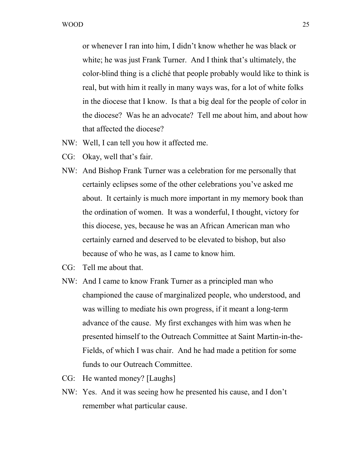or whenever I ran into him, I didn't know whether he was black or white; he was just Frank Turner. And I think that's ultimately, the color-blind thing is a cliché that people probably would like to think is real, but with him it really in many ways was, for a lot of white folks in the diocese that I know. Is that a big deal for the people of color in the diocese? Was he an advocate? Tell me about him, and about how that affected the diocese?

- NW: Well, I can tell you how it affected me.
- CG: Okay, well that's fair.
- NW: And Bishop Frank Turner was a celebration for me personally that certainly eclipses some of the other celebrations you've asked me about. It certainly is much more important in my memory book than the ordination of women. It was a wonderful, I thought, victory for this diocese, yes, because he was an African American man who certainly earned and deserved to be elevated to bishop, but also because of who he was, as I came to know him.
- CG: Tell me about that.
- NW: And I came to know Frank Turner as a principled man who championed the cause of marginalized people, who understood, and was willing to mediate his own progress, if it meant a long-term advance of the cause. My first exchanges with him was when he presented himself to the Outreach Committee at Saint Martin-in-the-Fields, of which I was chair. And he had made a petition for some funds to our Outreach Committee.
- CG: He wanted money? [Laughs]
- NW: Yes. And it was seeing how he presented his cause, and I don't remember what particular cause.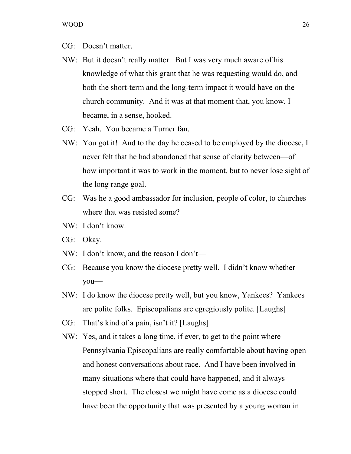- CG: Doesn't matter.
- NW: But it doesn't really matter. But I was very much aware of his knowledge of what this grant that he was requesting would do, and both the short-term and the long-term impact it would have on the church community. And it was at that moment that, you know, I became, in a sense, hooked.
- CG: Yeah. You became a Turner fan.
- NW: You got it! And to the day he ceased to be employed by the diocese, I never felt that he had abandoned that sense of clarity between—of how important it was to work in the moment, but to never lose sight of the long range goal.
- CG: Was he a good ambassador for inclusion, people of color, to churches where that was resisted some?
- NW: I don't know.
- CG: Okay.
- NW: I don't know, and the reason I don't—
- CG: Because you know the diocese pretty well. I didn't know whether you—
- NW: I do know the diocese pretty well, but you know, Yankees? Yankees are polite folks. Episcopalians are egregiously polite. [Laughs]
- CG: That's kind of a pain, isn't it? [Laughs]
- NW: Yes, and it takes a long time, if ever, to get to the point where Pennsylvania Episcopalians are really comfortable about having open and honest conversations about race. And I have been involved in many situations where that could have happened, and it always stopped short. The closest we might have come as a diocese could have been the opportunity that was presented by a young woman in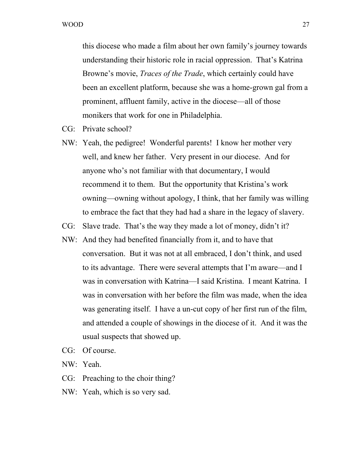this diocese who made a film about her own family's journey towards understanding their historic role in racial oppression. That's Katrina Browne's movie, *Traces of the Trade*, which certainly could have been an excellent platform, because she was a home-grown gal from a prominent, affluent family, active in the diocese—all of those monikers that work for one in Philadelphia.

- CG: Private school?
- NW: Yeah, the pedigree! Wonderful parents! I know her mother very well, and knew her father. Very present in our diocese. And for anyone who's not familiar with that documentary, I would recommend it to them. But the opportunity that Kristina's work owning—owning without apology, I think, that her family was willing to embrace the fact that they had had a share in the legacy of slavery.
- CG: Slave trade. That's the way they made a lot of money, didn't it?
- NW: And they had benefited financially from it, and to have that conversation. But it was not at all embraced, I don't think, and used to its advantage. There were several attempts that I'm aware—and I was in conversation with Katrina—I said Kristina. I meant Katrina. I was in conversation with her before the film was made, when the idea was generating itself. I have a un-cut copy of her first run of the film, and attended a couple of showings in the diocese of it. And it was the usual suspects that showed up.
- CG: Of course.
- NW: Yeah.
- CG: Preaching to the choir thing?
- NW: Yeah, which is so very sad.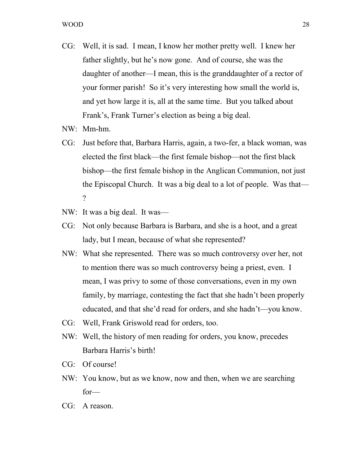- CG: Well, it is sad. I mean, I know her mother pretty well. I knew her father slightly, but he's now gone. And of course, she was the daughter of another—I mean, this is the granddaughter of a rector of your former parish! So it's very interesting how small the world is, and yet how large it is, all at the same time. But you talked about Frank's, Frank Turner's election as being a big deal.
- NW: Mm-hm.
- CG: Just before that, Barbara Harris, again, a two-fer, a black woman, was elected the first black—the first female bishop—not the first black bishop—the first female bishop in the Anglican Communion, not just the Episcopal Church. It was a big deal to a lot of people. Was that—  $\gamma$
- NW: It was a big deal. It was—
- CG: Not only because Barbara is Barbara, and she is a hoot, and a great lady, but I mean, because of what she represented?
- NW: What she represented. There was so much controversy over her, not to mention there was so much controversy being a priest, even. I mean, I was privy to some of those conversations, even in my own family, by marriage, contesting the fact that she hadn't been properly educated, and that she'd read for orders, and she hadn't—you know.
- CG: Well, Frank Griswold read for orders, too.
- NW: Well, the history of men reading for orders, you know, precedes Barbara Harris's birth!
- CG: Of course!
- NW: You know, but as we know, now and then, when we are searching for—
- CG: A reason.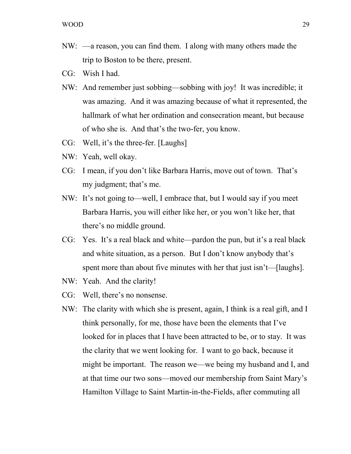- NW: —a reason, you can find them. I along with many others made the trip to Boston to be there, present.
- CG: Wish I had.
- NW: And remember just sobbing—sobbing with joy! It was incredible; it was amazing. And it was amazing because of what it represented, the hallmark of what her ordination and consecration meant, but because of who she is. And that's the two-fer, you know.
- CG: Well, it's the three-fer. [Laughs]
- NW: Yeah, well okay.
- CG: I mean, if you don't like Barbara Harris, move out of town. That's my judgment; that's me.
- NW: It's not going to—well, I embrace that, but I would say if you meet Barbara Harris, you will either like her, or you won't like her, that there's no middle ground.
- CG: Yes. It's a real black and white—pardon the pun, but it's a real black and white situation, as a person. But I don't know anybody that's spent more than about five minutes with her that just isn't—[laughs].
- NW: Yeah. And the clarity!
- CG: Well, there's no nonsense.
- NW: The clarity with which she is present, again, I think is a real gift, and I think personally, for me, those have been the elements that I've looked for in places that I have been attracted to be, or to stay. It was the clarity that we went looking for. I want to go back, because it might be important. The reason we—we being my husband and I, and at that time our two sons—moved our membership from Saint Mary's Hamilton Village to Saint Martin-in-the-Fields, after commuting all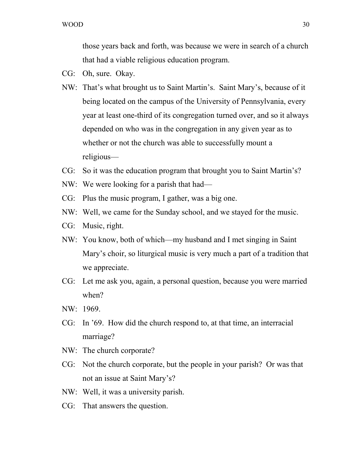those years back and forth, was because we were in search of a church that had a viable religious education program.

- CG: Oh, sure. Okay.
- NW: That's what brought us to Saint Martin's. Saint Mary's, because of it being located on the campus of the University of Pennsylvania, every year at least one-third of its congregation turned over, and so it always depended on who was in the congregation in any given year as to whether or not the church was able to successfully mount a religious—
- CG: So it was the education program that brought you to Saint Martin's?
- NW: We were looking for a parish that had—
- CG: Plus the music program, I gather, was a big one.
- NW: Well, we came for the Sunday school, and we stayed for the music.
- CG: Music, right.
- NW: You know, both of which—my husband and I met singing in Saint Mary's choir, so liturgical music is very much a part of a tradition that we appreciate.
- CG: Let me ask you, again, a personal question, because you were married when?
- NW: 1969.
- CG: In '69. How did the church respond to, at that time, an interracial marriage?
- NW: The church corporate?
- CG: Not the church corporate, but the people in your parish? Or was that not an issue at Saint Mary's?
- NW: Well, it was a university parish.
- CG: That answers the question.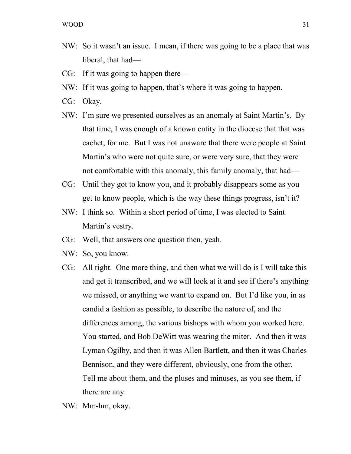- NW: So it wasn't an issue. I mean, if there was going to be a place that was liberal, that had—
- CG: If it was going to happen there—
- NW: If it was going to happen, that's where it was going to happen.
- CG: Okay.
- NW: I'm sure we presented ourselves as an anomaly at Saint Martin's. By that time, I was enough of a known entity in the diocese that that was cachet, for me. But I was not unaware that there were people at Saint Martin's who were not quite sure, or were very sure, that they were not comfortable with this anomaly, this family anomaly, that had—
- CG: Until they got to know you, and it probably disappears some as you get to know people, which is the way these things progress, isn't it?
- NW: I think so. Within a short period of time, I was elected to Saint Martin's vestry.
- CG: Well, that answers one question then, yeah.
- NW: So, you know.
- CG: All right. One more thing, and then what we will do is I will take this and get it transcribed, and we will look at it and see if there's anything we missed, or anything we want to expand on. But I'd like you, in as candid a fashion as possible, to describe the nature of, and the differences among, the various bishops with whom you worked here. You started, and Bob DeWitt was wearing the miter. And then it was Lyman Ogilby, and then it was Allen Bartlett, and then it was Charles Bennison, and they were different, obviously, one from the other. Tell me about them, and the pluses and minuses, as you see them, if there are any.
- NW: Mm-hm, okay.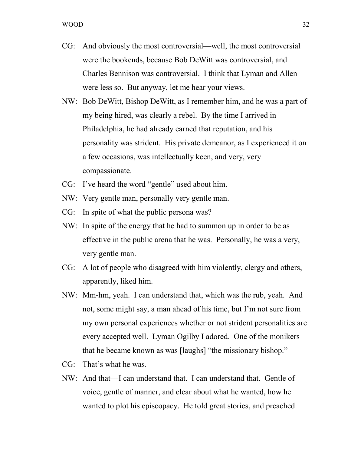- CG: And obviously the most controversial—well, the most controversial were the bookends, because Bob DeWitt was controversial, and Charles Bennison was controversial. I think that Lyman and Allen were less so. But anyway, let me hear your views.
- NW: Bob DeWitt, Bishop DeWitt, as I remember him, and he was a part of my being hired, was clearly a rebel. By the time I arrived in Philadelphia, he had already earned that reputation, and his personality was strident. His private demeanor, as I experienced it on a few occasions, was intellectually keen, and very, very compassionate.
- CG: I've heard the word "gentle" used about him.
- NW: Very gentle man, personally very gentle man.
- CG: In spite of what the public persona was?
- NW: In spite of the energy that he had to summon up in order to be as effective in the public arena that he was. Personally, he was a very, very gentle man.
- CG: A lot of people who disagreed with him violently, clergy and others, apparently, liked him.
- NW: Mm-hm, yeah. I can understand that, which was the rub, yeah. And not, some might say, a man ahead of his time, but I'm not sure from my own personal experiences whether or not strident personalities are every accepted well. Lyman Ogilby I adored. One of the monikers that he became known as was [laughs] "the missionary bishop."
- CG: That's what he was.
- NW: And that—I can understand that. I can understand that. Gentle of voice, gentle of manner, and clear about what he wanted, how he wanted to plot his episcopacy. He told great stories, and preached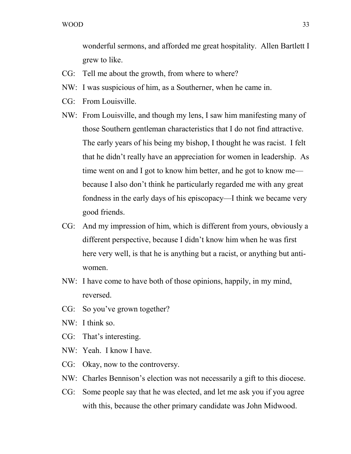wonderful sermons, and afforded me great hospitality. Allen Bartlett I grew to like.

- CG: Tell me about the growth, from where to where?
- NW: I was suspicious of him, as a Southerner, when he came in.
- CG: From Louisville.
- NW: From Louisville, and though my lens, I saw him manifesting many of those Southern gentleman characteristics that I do not find attractive. The early years of his being my bishop, I thought he was racist. I felt that he didn't really have an appreciation for women in leadership. As time went on and I got to know him better, and he got to know me because I also don't think he particularly regarded me with any great fondness in the early days of his episcopacy—I think we became very good friends.
- CG: And my impression of him, which is different from yours, obviously a different perspective, because I didn't know him when he was first here very well, is that he is anything but a racist, or anything but antiwomen.
- NW: I have come to have both of those opinions, happily, in my mind, reversed.
- CG: So you've grown together?
- NW: I think so.
- CG: That's interesting.
- NW: Yeah. I know I have.
- CG: Okay, now to the controversy.
- NW: Charles Bennison's election was not necessarily a gift to this diocese.
- CG: Some people say that he was elected, and let me ask you if you agree with this, because the other primary candidate was John Midwood.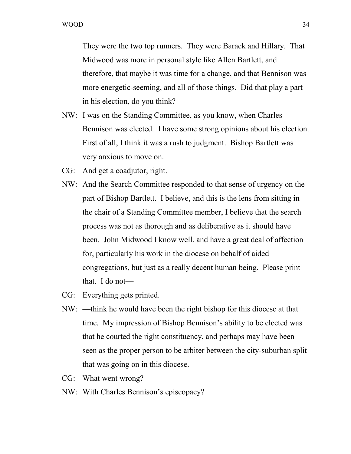They were the two top runners. They were Barack and Hillary. That Midwood was more in personal style like Allen Bartlett, and therefore, that maybe it was time for a change, and that Bennison was more energetic-seeming, and all of those things. Did that play a part in his election, do you think?

- NW: I was on the Standing Committee, as you know, when Charles Bennison was elected. I have some strong opinions about his election. First of all, I think it was a rush to judgment. Bishop Bartlett was very anxious to move on.
- CG: And get a coadjutor, right.
- NW: And the Search Committee responded to that sense of urgency on the part of Bishop Bartlett. I believe, and this is the lens from sitting in the chair of a Standing Committee member, I believe that the search process was not as thorough and as deliberative as it should have been. John Midwood I know well, and have a great deal of affection for, particularly his work in the diocese on behalf of aided congregations, but just as a really decent human being. Please print that. I do not—
- CG: Everything gets printed.
- NW: —think he would have been the right bishop for this diocese at that time. My impression of Bishop Bennison's ability to be elected was that he courted the right constituency, and perhaps may have been seen as the proper person to be arbiter between the city-suburban split that was going on in this diocese.
- CG: What went wrong?
- NW: With Charles Bennison's episcopacy?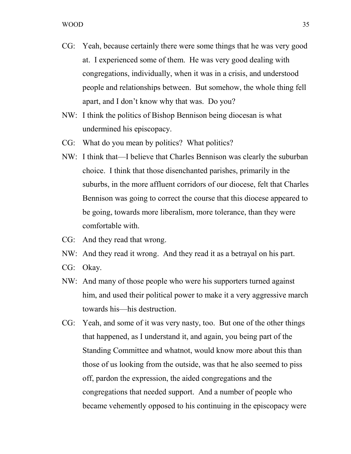- CG: Yeah, because certainly there were some things that he was very good at. I experienced some of them. He was very good dealing with congregations, individually, when it was in a crisis, and understood people and relationships between. But somehow, the whole thing fell apart, and I don't know why that was. Do you?
- NW: I think the politics of Bishop Bennison being diocesan is what undermined his episcopacy.
- CG: What do you mean by politics? What politics?
- NW: I think that—I believe that Charles Bennison was clearly the suburban choice. I think that those disenchanted parishes, primarily in the suburbs, in the more affluent corridors of our diocese, felt that Charles Bennison was going to correct the course that this diocese appeared to be going, towards more liberalism, more tolerance, than they were comfortable with.
- CG: And they read that wrong.
- NW: And they read it wrong. And they read it as a betrayal on his part.
- CG: Okay.
- NW: And many of those people who were his supporters turned against him, and used their political power to make it a very aggressive march towards his—his destruction.
- CG: Yeah, and some of it was very nasty, too. But one of the other things that happened, as I understand it, and again, you being part of the Standing Committee and whatnot, would know more about this than those of us looking from the outside, was that he also seemed to piss off, pardon the expression, the aided congregations and the congregations that needed support. And a number of people who became vehemently opposed to his continuing in the episcopacy were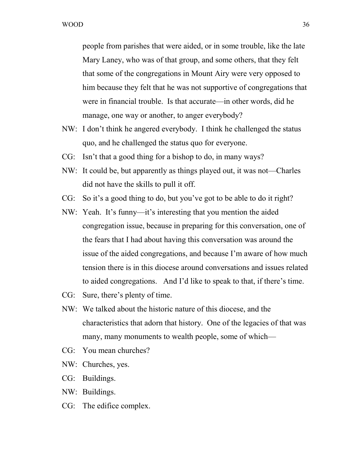people from parishes that were aided, or in some trouble, like the late Mary Laney, who was of that group, and some others, that they felt that some of the congregations in Mount Airy were very opposed to him because they felt that he was not supportive of congregations that were in financial trouble. Is that accurate—in other words, did he manage, one way or another, to anger everybody?

- NW: I don't think he angered everybody. I think he challenged the status quo, and he challenged the status quo for everyone.
- CG: Isn't that a good thing for a bishop to do, in many ways?
- NW: It could be, but apparently as things played out, it was not—Charles did not have the skills to pull it off.
- CG: So it's a good thing to do, but you've got to be able to do it right?
- NW: Yeah. It's funny—it's interesting that you mention the aided congregation issue, because in preparing for this conversation, one of the fears that I had about having this conversation was around the issue of the aided congregations, and because I'm aware of how much tension there is in this diocese around conversations and issues related to aided congregations. And I'd like to speak to that, if there's time.
- CG: Sure, there's plenty of time.
- NW: We talked about the historic nature of this diocese, and the characteristics that adorn that history. One of the legacies of that was many, many monuments to wealth people, some of which—
- CG: You mean churches?
- NW: Churches, yes.
- CG: Buildings.
- NW: Buildings.
- CG: The edifice complex.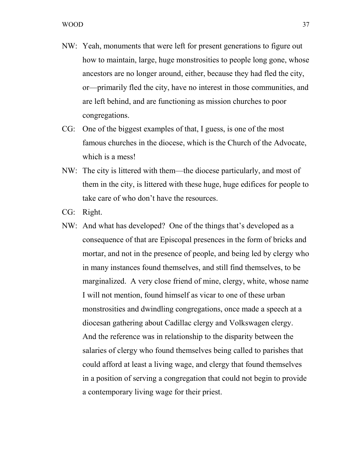- NW: Yeah, monuments that were left for present generations to figure out how to maintain, large, huge monstrosities to people long gone, whose ancestors are no longer around, either, because they had fled the city, or—primarily fled the city, have no interest in those communities, and are left behind, and are functioning as mission churches to poor congregations.
- CG: One of the biggest examples of that, I guess, is one of the most famous churches in the diocese, which is the Church of the Advocate, which is a mess!
- NW: The city is littered with them—the diocese particularly, and most of them in the city, is littered with these huge, huge edifices for people to take care of who don't have the resources.
- CG: Right.
- NW: And what has developed? One of the things that's developed as a consequence of that are Episcopal presences in the form of bricks and mortar, and not in the presence of people, and being led by clergy who in many instances found themselves, and still find themselves, to be marginalized. A very close friend of mine, clergy, white, whose name I will not mention, found himself as vicar to one of these urban monstrosities and dwindling congregations, once made a speech at a diocesan gathering about Cadillac clergy and Volkswagen clergy. And the reference was in relationship to the disparity between the salaries of clergy who found themselves being called to parishes that could afford at least a living wage, and clergy that found themselves in a position of serving a congregation that could not begin to provide a contemporary living wage for their priest.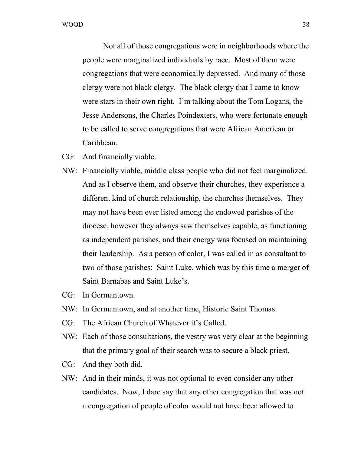Not all of those congregations were in neighborhoods where the people were marginalized individuals by race. Most of them were congregations that were economically depressed. And many of those clergy were not black clergy. The black clergy that I came to know were stars in their own right. I'm talking about the Tom Logans, the Jesse Andersons, the Charles Poindexters, who were fortunate enough to be called to serve congregations that were African American or Caribbean.

- CG: And financially viable.
- NW: Financially viable, middle class people who did not feel marginalized. And as I observe them, and observe their churches, they experience a different kind of church relationship, the churches themselves. They may not have been ever listed among the endowed parishes of the diocese, however they always saw themselves capable, as functioning as independent parishes, and their energy was focused on maintaining their leadership. As a person of color, I was called in as consultant to two of those parishes: Saint Luke, which was by this time a merger of Saint Barnabas and Saint Luke's.
- CG: In Germantown.
- NW: In Germantown, and at another time, Historic Saint Thomas.
- CG: The African Church of Whatever it's Called.
- NW: Each of those consultations, the vestry was very clear at the beginning that the primary goal of their search was to secure a black priest.
- CG: And they both did.
- NW: And in their minds, it was not optional to even consider any other candidates. Now, I dare say that any other congregation that was not a congregation of people of color would not have been allowed to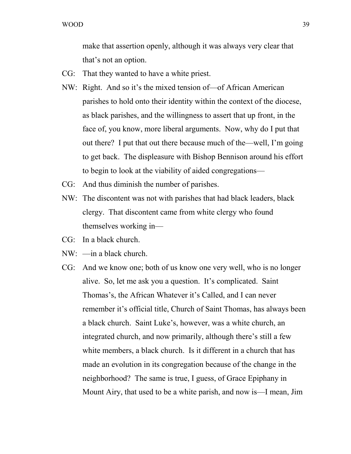make that assertion openly, although it was always very clear that that's not an option.

- CG: That they wanted to have a white priest.
- NW: Right. And so it's the mixed tension of—of African American parishes to hold onto their identity within the context of the diocese, as black parishes, and the willingness to assert that up front, in the face of, you know, more liberal arguments. Now, why do I put that out there? I put that out there because much of the—well, I'm going to get back. The displeasure with Bishop Bennison around his effort to begin to look at the viability of aided congregations—
- CG: And thus diminish the number of parishes.
- NW: The discontent was not with parishes that had black leaders, black clergy. That discontent came from white clergy who found themselves working in—
- CG: In a black church.
- NW: —in a black church.
- CG: And we know one; both of us know one very well, who is no longer alive. So, let me ask you a question. It's complicated. Saint Thomas's, the African Whatever it's Called, and I can never remember it's official title, Church of Saint Thomas, has always been a black church. Saint Luke's, however, was a white church, an integrated church, and now primarily, although there's still a few white members, a black church. Is it different in a church that has made an evolution in its congregation because of the change in the neighborhood? The same is true, I guess, of Grace Epiphany in Mount Airy, that used to be a white parish, and now is—I mean, Jim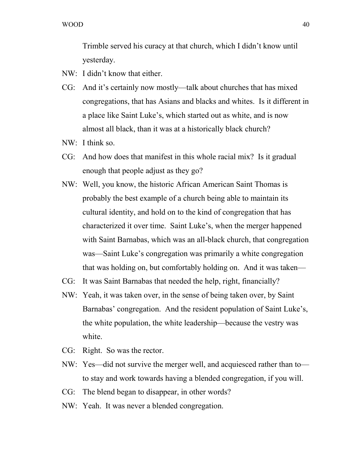Trimble served his curacy at that church, which I didn't know until yesterday.

- NW: I didn't know that either.
- CG: And it's certainly now mostly—talk about churches that has mixed congregations, that has Asians and blacks and whites. Is it different in a place like Saint Luke's, which started out as white, and is now almost all black, than it was at a historically black church?
- NW: I think so.
- CG: And how does that manifest in this whole racial mix? Is it gradual enough that people adjust as they go?
- NW: Well, you know, the historic African American Saint Thomas is probably the best example of a church being able to maintain its cultural identity, and hold on to the kind of congregation that has characterized it over time. Saint Luke's, when the merger happened with Saint Barnabas, which was an all-black church, that congregation was—Saint Luke's congregation was primarily a white congregation that was holding on, but comfortably holding on. And it was taken—
- CG: It was Saint Barnabas that needed the help, right, financially?
- NW: Yeah, it was taken over, in the sense of being taken over, by Saint Barnabas' congregation. And the resident population of Saint Luke's, the white population, the white leadership—because the vestry was white.
- CG: Right. So was the rector.
- NW: Yes—did not survive the merger well, and acquiesced rather than to to stay and work towards having a blended congregation, if you will.
- CG: The blend began to disappear, in other words?
- NW: Yeah. It was never a blended congregation.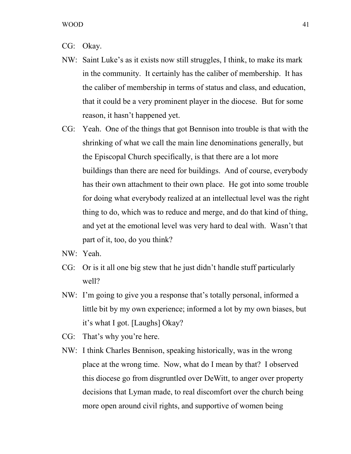- CG: Okay.
- NW: Saint Luke's as it exists now still struggles, I think, to make its mark in the community. It certainly has the caliber of membership. It has the caliber of membership in terms of status and class, and education, that it could be a very prominent player in the diocese. But for some reason, it hasn't happened yet.
- CG: Yeah. One of the things that got Bennison into trouble is that with the shrinking of what we call the main line denominations generally, but the Episcopal Church specifically, is that there are a lot more buildings than there are need for buildings. And of course, everybody has their own attachment to their own place. He got into some trouble for doing what everybody realized at an intellectual level was the right thing to do, which was to reduce and merge, and do that kind of thing, and yet at the emotional level was very hard to deal with. Wasn't that part of it, too, do you think?
- NW: Yeah.
- CG: Or is it all one big stew that he just didn't handle stuff particularly well?
- NW: I'm going to give you a response that's totally personal, informed a little bit by my own experience; informed a lot by my own biases, but it's what I got. [Laughs] Okay?
- CG: That's why you're here.
- NW: I think Charles Bennison, speaking historically, was in the wrong place at the wrong time. Now, what do I mean by that? I observed this diocese go from disgruntled over DeWitt, to anger over property decisions that Lyman made, to real discomfort over the church being more open around civil rights, and supportive of women being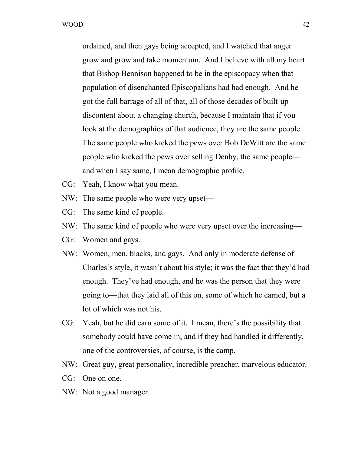ordained, and then gays being accepted, and I watched that anger grow and grow and take momentum. And I believe with all my heart that Bishop Bennison happened to be in the episcopacy when that population of disenchanted Episcopalians had had enough. And he got the full barrage of all of that, all of those decades of built-up discontent about a changing church, because I maintain that if you look at the demographics of that audience, they are the same people. The same people who kicked the pews over Bob DeWitt are the same people who kicked the pews over selling Denby, the same people and when I say same, I mean demographic profile.

- CG: Yeah, I know what you mean.
- NW: The same people who were very upset—
- CG: The same kind of people.
- NW: The same kind of people who were very upset over the increasing—
- CG: Women and gays.
- NW: Women, men, blacks, and gays. And only in moderate defense of Charles's style, it wasn't about his style; it was the fact that they'd had enough. They've had enough, and he was the person that they were going to—that they laid all of this on, some of which he earned, but a lot of which was not his.
- CG: Yeah, but he did earn some of it. I mean, there's the possibility that somebody could have come in, and if they had handled it differently, one of the controversies, of course, is the camp.
- NW: Great guy, great personality, incredible preacher, marvelous educator.
- CG: One on one.
- NW: Not a good manager.